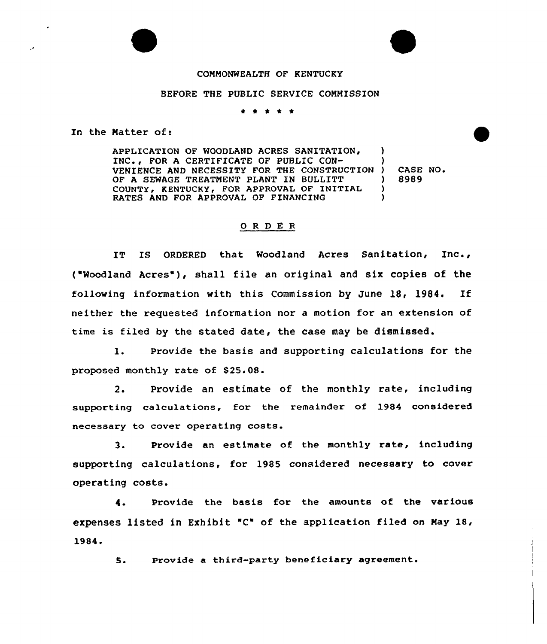## COMMONWEALTH OF KFNTUCKY

## BEFORE THE PUBLIC SERVICE COMMISSION

\* <sup>0</sup>

In the Matter of:

APPLICATION OF WOODLAND ACRES SANITATION, INC., FOR A CERTIFICATE OF PUBLIC CON-VENIENCE AND NECESSITY FOR THE CONSTRUCTIO OF A SEWAGE TREATMENT PLANT IN BULLITT COUNTY, KENTUCKY, FOR APPROVAL OF INITIAL RATES AND FOR APPROUAI OF FINANCING ) ) ) CASE NO. ) 8989 ) )

## 0 R <sup>D</sup> E R

IT IS ORDERED that Woodland Acres Sanitation, Inc., ("Woodland Acres"), shall file an original and six copies of the following information with this Commission by June 18, 1984, If neither the requested information nor a motion for an extension of time is filed by the stated date, the case may be dismissed.

1. Provide the basis and supporting calculations for the proposed monthly rate of 825.08.

2. Provide an estimate of the monthly rate, including supporting calculations, for the remainder of 1984 considered necessary to cover operating costs.

3. Provide an estimate of the monthly rate, including supporting calculations, for 1985 considered necessary to cover operating costs.

4. Provide the basis for the amounts of the various expenses listed in Exhibit 'C" of the application filed on May 18, 4.<br>expenses 1<br>1984.<br>5.

Provide a third-party beneficiary agreement.